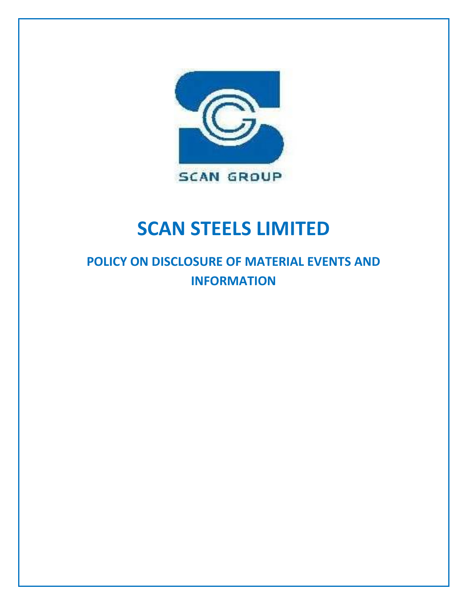

# **SCAN STEELS LIMITED**

# **POLICY ON DISCLOSURE OF MATERIAL EVENTS AND INFORMATION**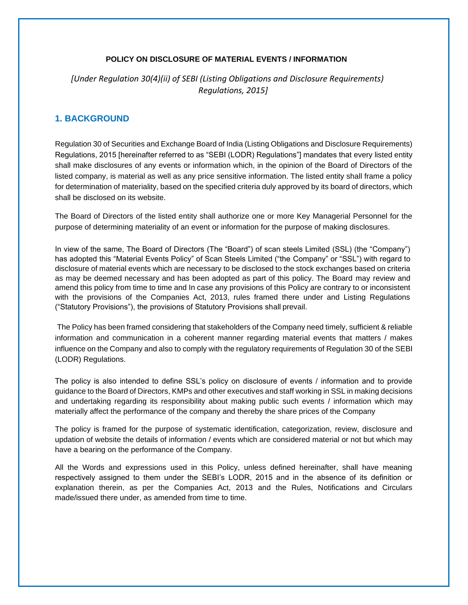#### **POLICY ON DISCLOSURE OF MATERIAL EVENTS / INFORMATION**

*[Under Regulation 30(4)(ii) of SEBI (Listing Obligations and Disclosure Requirements) Regulations, 2015]*

# **1. BACKGROUND**

Regulation 30 of Securities and Exchange Board of India (Listing Obligations and Disclosure Requirements) Regulations, 2015 [hereinafter referred to as "SEBI (LODR) Regulations"] mandates that every listed entity shall make disclosures of any events or information which, in the opinion of the Board of Directors of the listed company, is material as well as any price sensitive information. The listed entity shall frame a policy for determination of materiality, based on the specified criteria duly approved by its board of directors, which shall be disclosed on its website.

The Board of Directors of the listed entity shall authorize one or more Key Managerial Personnel for the purpose of determining materiality of an event or information for the purpose of making disclosures.

In view of the same, The Board of Directors (The "Board") of scan steels Limited (SSL) (the "Company") has adopted this "Material Events Policy" of Scan Steels Limited ("the Company" or "SSL") with regard to disclosure of material events which are necessary to be disclosed to the stock exchanges based on criteria as may be deemed necessary and has been adopted as part of this policy. The Board may review and amend this policy from time to time and In case any provisions of this Policy are contrary to or inconsistent with the provisions of the Companies Act, 2013, rules framed there under and Listing Regulations ("Statutory Provisions"), the provisions of Statutory Provisions shall prevail.

The Policy has been framed considering that stakeholders of the Company need timely, sufficient & reliable information and communication in a coherent manner regarding material events that matters / makes influence on the Company and also to comply with the regulatory requirements of Regulation 30 of the SEBI (LODR) Regulations.

The policy is also intended to define SSL's policy on disclosure of events / information and to provide guidance to the Board of Directors, KMPs and other executives and staff working in SSL in making decisions and undertaking regarding its responsibility about making public such events / information which may materially affect the performance of the company and thereby the share prices of the Company

The policy is framed for the purpose of systematic identification, categorization, review, disclosure and updation of website the details of information / events which are considered material or not but which may have a bearing on the performance of the Company.

All the Words and expressions used in this Policy, unless defined hereinafter, shall have meaning respectively assigned to them under the SEBI's LODR, 2015 and in the absence of its definition or explanation therein, as per the Companies Act, 2013 and the Rules, Notifications and Circulars made/issued there under, as amended from time to time.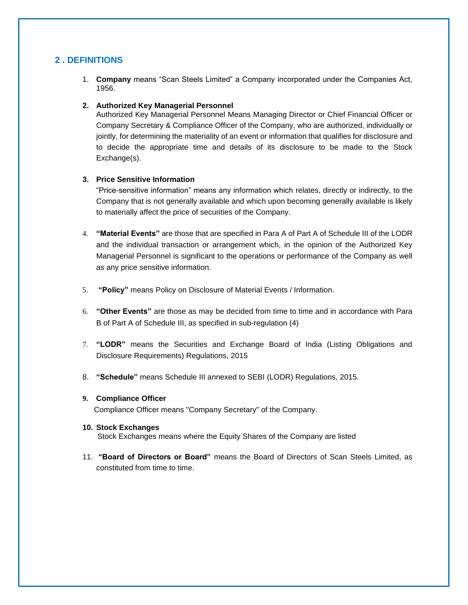# **2 . DEFINITIONS**

1. **Company** means "Scan Steels Limited" a Company incorporated under the Companies Act, 1956.

#### **2. Authorized Key Managerial Personnel**

Authorized Key Managerial Personnel Means Managing Director or Chief Financial Officer or Company Secretary & Compliance Officer of the Company, who are authorized, individually or jointly, for determining the materiality of an event or information that qualifies for disclosure and to decide the appropriate time and details of its disclosure to be made to the Stock Exchange(s).

#### **3. Price Sensitive Information**

"Price-sensitive information" means any information which relates, directly or indirectly, to the Company that is not generally available and which upon becoming generally available is likely to materially affect the price of securities of the Company.

- 4. **"Material Events"** are those that are specified in Para A of Part A of Schedule III of the LODR and the individual transaction or arrangement which, in the opinion of the Authorized Key Managerial Personnel is significant to the operations or performance of the Company as well as any price sensitive information.
- 5. **"Policy"** means Policy on Disclosure of Material Events / Information.
- 6. **"Other Events"** are those as may be decided from time to time and in accordance with Para B of Part A of Schedule III, as specified in sub-regulation (4)
- 7. **"LODR"** means the Securities and Exchange Board of India (Listing Obligations and Disclosure Requirements) Regulations, 2015
- 8. **"Schedule"** means Schedule III annexed to SEBI (LODR) Regulations, 2015.

#### **9. Compliance Officer**

Compliance Officer means "Company Secretary" of the Company.

**10. Stock Exchanges**

Stock Exchanges means where the Equity Shares of the Company are listed

11. **"Board of Directors or Board"** means the Board of Directors of Scan Steels Limited, as constituted from time to time.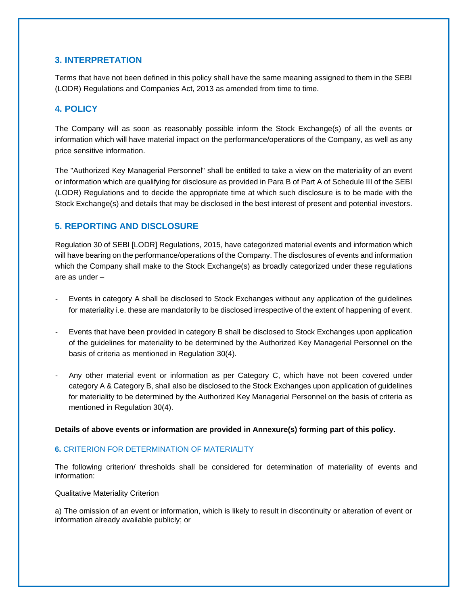# **3. INTERPRETATION**

Terms that have not been defined in this policy shall have the same meaning assigned to them in the SEBI (LODR) Regulations and Companies Act, 2013 as amended from time to time.

# **4. POLICY**

The Company will as soon as reasonably possible inform the Stock Exchange(s) of all the events or information which will have material impact on the performance/operations of the Company, as well as any price sensitive information.

The "Authorized Key Managerial Personnel" shall be entitled to take a view on the materiality of an event or information which are qualifying for disclosure as provided in Para B of Part A of Schedule III of the SEBI (LODR) Regulations and to decide the appropriate time at which such disclosure is to be made with the Stock Exchange(s) and details that may be disclosed in the best interest of present and potential investors.

# **5. REPORTING AND DISCLOSURE**

Regulation 30 of SEBI [LODR] Regulations, 2015, have categorized material events and information which will have bearing on the performance/operations of the Company. The disclosures of events and information which the Company shall make to the Stock Exchange(s) as broadly categorized under these regulations are as under –

- Events in category A shall be disclosed to Stock Exchanges without any application of the guidelines for materiality i.e. these are mandatorily to be disclosed irrespective of the extent of happening of event.
- Events that have been provided in category B shall be disclosed to Stock Exchanges upon application of the guidelines for materiality to be determined by the Authorized Key Managerial Personnel on the basis of criteria as mentioned in Regulation 30(4).
- Any other material event or information as per Category C, which have not been covered under category A & Category B, shall also be disclosed to the Stock Exchanges upon application of guidelines for materiality to be determined by the Authorized Key Managerial Personnel on the basis of criteria as mentioned in Regulation 30(4).

**Details of above events or information are provided in Annexure(s) forming part of this policy.**

#### **6.** CRITERION FOR DETERMINATION OF MATERIALITY

The following criterion/ thresholds shall be considered for determination of materiality of events and information:

#### Qualitative Materiality Criterion

a) The omission of an event or information, which is likely to result in discontinuity or alteration of event or information already available publicly; or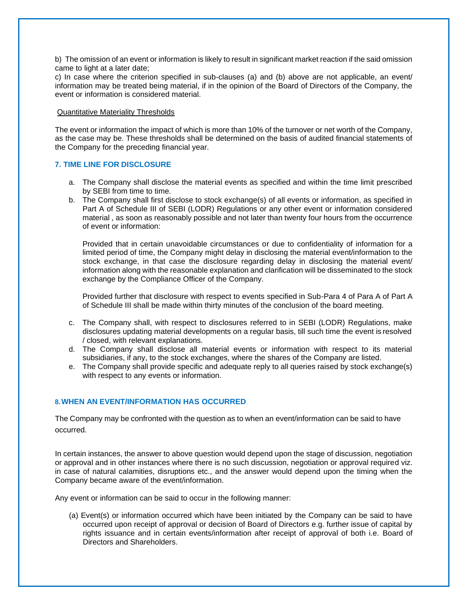b) The omission of an event or information is likely to result in significant market reaction if the said omission came to light at a later date;

c) In case where the criterion specified in sub-clauses (a) and (b) above are not applicable, an event/ information may be treated being material, if in the opinion of the Board of Directors of the Company, the event or information is considered material.

#### Quantitative Materiality Thresholds

The event or information the impact of which is more than 10% of the turnover or net worth of the Company, as the case may be. These thresholds shall be determined on the basis of audited financial statements of the Company for the preceding financial year.

#### **7. TIME LINE FOR DISCLOSURE**

- a. The Company shall disclose the material events as specified and within the time limit prescribed by SEBI from time to time.
- b. The Company shall first disclose to stock exchange(s) of all events or information, as specified in Part A of Schedule III of SEBI (LODR) Regulations or any other event or information considered material , as soon as reasonably possible and not later than twenty four hours from the occurrence of event or information:

Provided that in certain unavoidable circumstances or due to confidentiality of information for a limited period of time, the Company might delay in disclosing the material event/information to the stock exchange, in that case the disclosure regarding delay in disclosing the material event/ information along with the reasonable explanation and clarification will be disseminated to the stock exchange by the Compliance Officer of the Company.

Provided further that disclosure with respect to events specified in Sub-Para 4 of Para A of Part A of Schedule III shall be made within thirty minutes of the conclusion of the board meeting.

- c. The Company shall, with respect to disclosures referred to in SEBI (LODR) Regulations, make disclosures updating material developments on a regular basis, till such time the event is resolved / closed, with relevant explanations.
- d. The Company shall disclose all material events or information with respect to its material subsidiaries, if any, to the stock exchanges, where the shares of the Company are listed.
- e. The Company shall provide specific and adequate reply to all queries raised by stock exchange(s) with respect to any events or information.

#### **8.WHEN AN EVENT/INFORMATION HAS OCCURRED**

The Company may be confronted with the question as to when an event/information can be said to have occurred.

In certain instances, the answer to above question would depend upon the stage of discussion, negotiation or approval and in other instances where there is no such discussion, negotiation or approval required viz. in case of natural calamities, disruptions etc., and the answer would depend upon the timing when the Company became aware of the event/information.

Any event or information can be said to occur in the following manner:

(a) Event(s) or information occurred which have been initiated by the Company can be said to have occurred upon receipt of approval or decision of Board of Directors e.g. further issue of capital by rights issuance and in certain events/information after receipt of approval of both i.e. Board of Directors and Shareholders.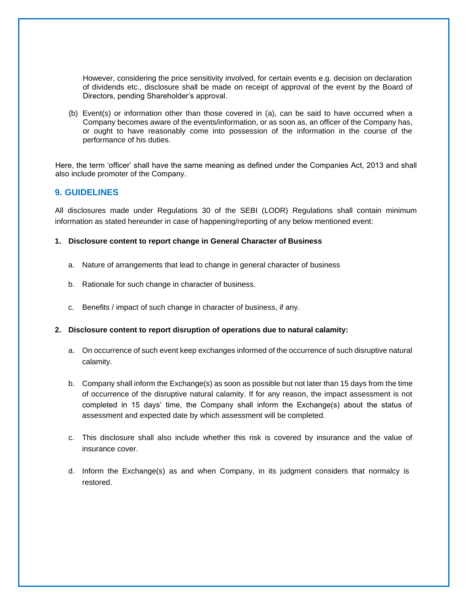However, considering the price sensitivity involved, for certain events e.g. decision on declaration of dividends etc., disclosure shall be made on receipt of approval of the event by the Board of Directors, pending Shareholder's approval.

(b) Event(s) or information other than those covered in (a), can be said to have occurred when a Company becomes aware of the events/information, or as soon as, an officer of the Company has, or ought to have reasonably come into possession of the information in the course of the performance of his duties.

Here, the term 'officer' shall have the same meaning as defined under the Companies Act, 2013 and shall also include promoter of the Company.

#### **9. GUIDELINES**

All disclosures made under Regulations 30 of the SEBI (LODR) Regulations shall contain minimum information as stated hereunder in case of happening/reporting of any below mentioned event:

#### **1. Disclosure content to report change in General Character of Business**

- a. Nature of arrangements that lead to change in general character of business
- b. Rationale for such change in character of business.
- c. Benefits / impact of such change in character of business, if any.

#### **2. Disclosure content to report disruption of operations due to natural calamity:**

- a. On occurrence of such event keep exchanges informed of the occurrence of such disruptive natural calamity.
- b. Company shall inform the Exchange(s) as soon as possible but not later than 15 days from the time of occurrence of the disruptive natural calamity. If for any reason, the impact assessment is not completed in 15 days' time, the Company shall inform the Exchange(s) about the status of assessment and expected date by which assessment will be completed.
- c. This disclosure shall also include whether this risk is covered by insurance and the value of insurance cover.
- d. Inform the Exchange(s) as and when Company, in its judgment considers that normalcy is restored.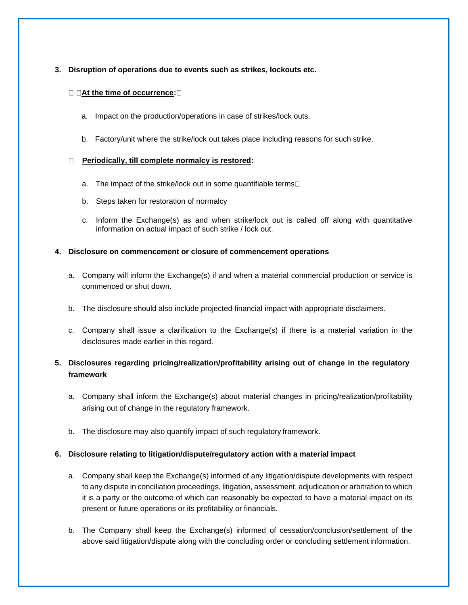#### **3. Disruption of operations due to events such as strikes, lockouts etc.**

#### **At the time of occurrence:**

- a. Impact on the production/operations in case of strikes/lock outs.
- b. Factory/unit where the strike/lock out takes place including reasons for such strike.

#### **Periodically, till complete normalcy is restored:**

- a. The impact of the strike/lock out in some quantifiable terms
- b. Steps taken for restoration of normalcy
- c. Inform the Exchange(s) as and when strike/lock out is called off along with quantitative information on actual impact of such strike / lock out.

#### **4. Disclosure on commencement or closure of commencement operations**

- a. Company will inform the Exchange(s) if and when a material commercial production or service is commenced or shut down.
- b. The disclosure should also include projected financial impact with appropriate disclaimers.
- c. Company shall issue a clarification to the Exchange(s) if there is a material variation in the disclosures made earlier in this regard.

# **5. Disclosures regarding pricing/realization/profitability arising out of change in the regulatory framework**

- a. Company shall inform the Exchange(s) about material changes in pricing/realization/profitability arising out of change in the regulatory framework.
- b. The disclosure may also quantify impact of such regulatory framework.

# **6. Disclosure relating to litigation/dispute/regulatory action with a material impact**

- a. Company shall keep the Exchange(s) informed of any litigation/dispute developments with respect to any dispute in conciliation proceedings, litigation, assessment, adjudication or arbitration to which it is a party or the outcome of which can reasonably be expected to have a material impact on its present or future operations or its profitability or financials.
- b. The Company shall keep the Exchange(s) informed of cessation/conclusion/settlement of the above said litigation/dispute along with the concluding order or concluding settlement information.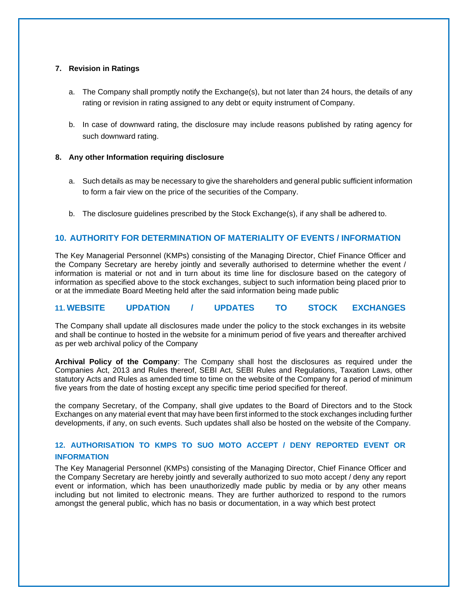#### **7. Revision in Ratings**

- a. The Company shall promptly notify the Exchange(s), but not later than 24 hours, the details of any rating or revision in rating assigned to any debt or equity instrument of Company.
- b. In case of downward rating, the disclosure may include reasons published by rating agency for such downward rating.

#### **8. Any other Information requiring disclosure**

- a. Such details as may be necessary to give the shareholders and general public sufficient information to form a fair view on the price of the securities of the Company.
- b. The disclosure guidelines prescribed by the Stock Exchange(s), if any shall be adhered to.

# **10. AUTHORITY FOR DETERMINATION OF MATERIALITY OF EVENTS / INFORMATION**

The Key Managerial Personnel (KMPs) consisting of the Managing Director, Chief Finance Officer and the Company Secretary are hereby jointly and severally authorised to determine whether the event / information is material or not and in turn about its time line for disclosure based on the category of information as specified above to the stock exchanges, subject to such information being placed prior to or at the immediate Board Meeting held after the said information being made public

#### **11. WEBSITE UPDATION / UPDATES TO STOCK EXCHANGES**

The Company shall update all disclosures made under the policy to the stock exchanges in its website and shall be continue to hosted in the website for a minimum period of five years and thereafter archived as per web archival policy of the Company

**Archival Policy of the Company**: The Company shall host the disclosures as required under the Companies Act, 2013 and Rules thereof, SEBI Act, SEBI Rules and Regulations, Taxation Laws, other statutory Acts and Rules as amended time to time on the website of the Company for a period of minimum five years from the date of hosting except any specific time period specified for thereof.

the company Secretary, of the Company, shall give updates to the Board of Directors and to the Stock Exchanges on any material event that may have been first informed to the stock exchanges including further developments, if any, on such events. Such updates shall also be hosted on the website of the Company.

# **12. AUTHORISATION TO KMPS TO SUO MOTO ACCEPT / DENY REPORTED EVENT OR INFORMATION**

The Key Managerial Personnel (KMPs) consisting of the Managing Director, Chief Finance Officer and the Company Secretary are hereby jointly and severally authorized to suo moto accept / deny any report event or information, which has been unauthorizedly made public by media or by any other means including but not limited to electronic means. They are further authorized to respond to the rumors amongst the general public, which has no basis or documentation, in a way which best protect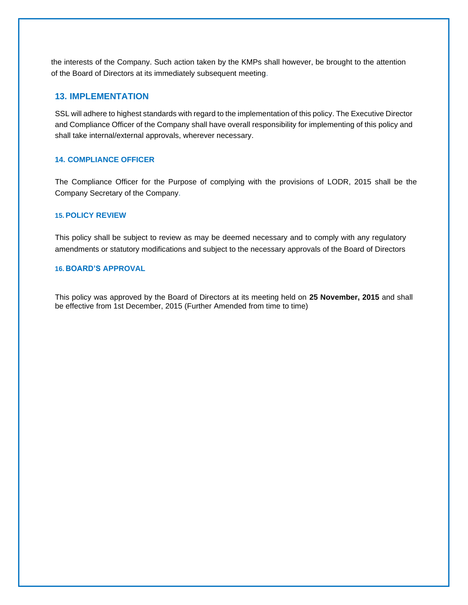the interests of the Company. Such action taken by the KMPs shall however, be brought to the attention of the Board of Directors at its immediately subsequent meeting.

#### **13. IMPLEMENTATION**

SSL will adhere to highest standards with regard to the implementation of this policy. The Executive Director and Compliance Officer of the Company shall have overall responsibility for implementing of this policy and shall take internal/external approvals, wherever necessary.

#### **14. COMPLIANCE OFFICER**

The Compliance Officer for the Purpose of complying with the provisions of LODR, 2015 shall be the Company Secretary of the Company.

#### **15. POLICY REVIEW**

This policy shall be subject to review as may be deemed necessary and to comply with any regulatory amendments or statutory modifications and subject to the necessary approvals of the Board of Directors

#### **16. BOARD'S APPROVAL**

This policy was approved by the Board of Directors at its meeting held on **25 November, 2015** and shall be effective from 1st December, 2015 (Further Amended from time to time)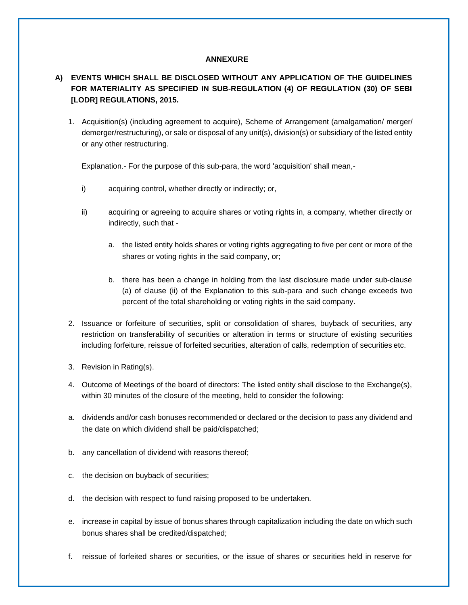#### **ANNEXURE**

# **A) EVENTS WHICH SHALL BE DISCLOSED WITHOUT ANY APPLICATION OF THE GUIDELINES FOR MATERIALITY AS SPECIFIED IN SUB-REGULATION (4) OF REGULATION (30) OF SEBI [LODR] REGULATIONS, 2015.**

1. Acquisition(s) (including agreement to acquire), Scheme of Arrangement (amalgamation/ merger/ demerger/restructuring), or sale or disposal of any unit(s), division(s) or subsidiary of the listed entity or any other restructuring.

Explanation.- For the purpose of this sub-para, the word 'acquisition' shall mean,-

- i) acquiring control, whether directly or indirectly; or,
- ii) acquiring or agreeing to acquire shares or voting rights in, a company, whether directly or indirectly, such that
	- a. the listed entity holds shares or voting rights aggregating to five per cent or more of the shares or voting rights in the said company, or;
	- b. there has been a change in holding from the last disclosure made under sub-clause (a) of clause (ii) of the Explanation to this sub-para and such change exceeds two percent of the total shareholding or voting rights in the said company.
- 2. Issuance or forfeiture of securities, split or consolidation of shares, buyback of securities, any restriction on transferability of securities or alteration in terms or structure of existing securities including forfeiture, reissue of forfeited securities, alteration of calls, redemption of securities etc.
- 3. Revision in Rating(s).
- 4. Outcome of Meetings of the board of directors: The listed entity shall disclose to the Exchange(s), within 30 minutes of the closure of the meeting, held to consider the following:
- a. dividends and/or cash bonuses recommended or declared or the decision to pass any dividend and the date on which dividend shall be paid/dispatched;
- b. any cancellation of dividend with reasons thereof;
- c. the decision on buyback of securities;
- d. the decision with respect to fund raising proposed to be undertaken.
- e. increase in capital by issue of bonus shares through capitalization including the date on which such bonus shares shall be credited/dispatched;
- f. reissue of forfeited shares or securities, or the issue of shares or securities held in reserve for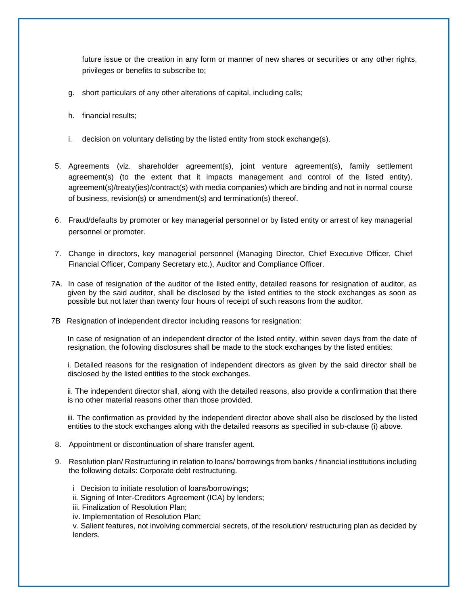future issue or the creation in any form or manner of new shares or securities or any other rights, privileges or benefits to subscribe to;

- g. short particulars of any other alterations of capital, including calls;
- h. financial results;
- i. decision on voluntary delisting by the listed entity from stock exchange(s).
- 5. Agreements (viz. shareholder agreement(s), joint venture agreement(s), family settlement agreement(s) (to the extent that it impacts management and control of the listed entity), agreement(s)/treaty(ies)/contract(s) with media companies) which are binding and not in normal course of business, revision(s) or amendment(s) and termination(s) thereof.
- 6. Fraud/defaults by promoter or key managerial personnel or by listed entity or arrest of key managerial personnel or promoter.
- 7. Change in directors, key managerial personnel (Managing Director, Chief Executive Officer, Chief Financial Officer, Company Secretary etc.), Auditor and Compliance Officer.
- 7A. In case of resignation of the auditor of the listed entity, detailed reasons for resignation of auditor, as given by the said auditor, shall be disclosed by the listed entities to the stock exchanges as soon as possible but not later than twenty four hours of receipt of such reasons from the auditor.
- 7B Resignation of independent director including reasons for resignation:

In case of resignation of an independent director of the listed entity, within seven days from the date of resignation, the following disclosures shall be made to the stock exchanges by the listed entities:

i. Detailed reasons for the resignation of independent directors as given by the said director shall be disclosed by the listed entities to the stock exchanges.

ii. The independent director shall, along with the detailed reasons, also provide a confirmation that there is no other material reasons other than those provided.

iii. The confirmation as provided by the independent director above shall also be disclosed by the listed entities to the stock exchanges along with the detailed reasons as specified in sub-clause (i) above.

- 8. Appointment or discontinuation of share transfer agent.
- 9. Resolution plan/ Restructuring in relation to loans/ borrowings from banks / financial institutions including the following details: Corporate debt restructuring.
	- i Decision to initiate resolution of loans/borrowings;
	- ii. Signing of Inter-Creditors Agreement (ICA) by lenders;
	- iii. Finalization of Resolution Plan;
	- iv. Implementation of Resolution Plan;

v. Salient features, not involving commercial secrets, of the resolution/ restructuring plan as decided by lenders.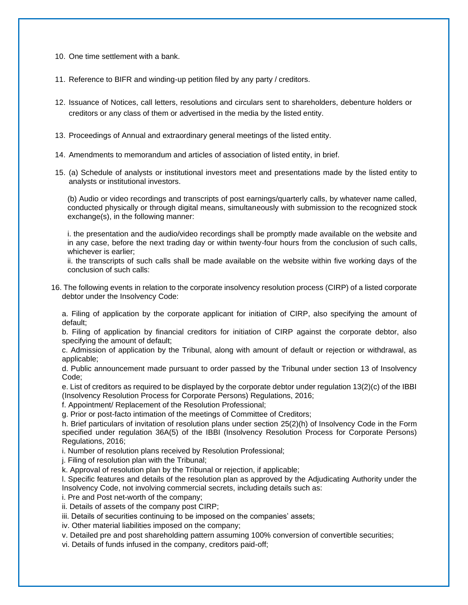10. One time settlement with a bank.

11. Reference to BIFR and winding-up petition filed by any party / creditors.

- 12. Issuance of Notices, call letters, resolutions and circulars sent to shareholders, debenture holders or creditors or any class of them or advertised in the media by the listed entity.
- 13. Proceedings of Annual and extraordinary general meetings of the listed entity.
- 14. Amendments to memorandum and articles of association of listed entity, in brief.
- 15. (a) Schedule of analysts or institutional investors meet and presentations made by the listed entity to analysts or institutional investors.

(b) Audio or video recordings and transcripts of post earnings/quarterly calls, by whatever name called, conducted physically or through digital means, simultaneously with submission to the recognized stock exchange(s), in the following manner:

i. the presentation and the audio/video recordings shall be promptly made available on the website and in any case, before the next trading day or within twenty-four hours from the conclusion of such calls, whichever is earlier;

ii. the transcripts of such calls shall be made available on the website within five working days of the conclusion of such calls:

16. The following events in relation to the corporate insolvency resolution process (CIRP) of a listed corporate debtor under the Insolvency Code:

a. Filing of application by the corporate applicant for initiation of CIRP, also specifying the amount of default;

b. Filing of application by financial creditors for initiation of CIRP against the corporate debtor, also specifying the amount of default;

c. Admission of application by the Tribunal, along with amount of default or rejection or withdrawal, as applicable;

d. Public announcement made pursuant to order passed by the Tribunal under section 13 of Insolvency Code;

e. List of creditors as required to be displayed by the corporate debtor under regulation 13(2)(c) of the IBBI (Insolvency Resolution Process for Corporate Persons) Regulations, 2016;

f. Appointment/ Replacement of the Resolution Professional;

g. Prior or post-facto intimation of the meetings of Committee of Creditors;

h. Brief particulars of invitation of resolution plans under section 25(2)(h) of Insolvency Code in the Form specified under regulation 36A(5) of the IBBI (Insolvency Resolution Process for Corporate Persons) Regulations, 2016;

i. Number of resolution plans received by Resolution Professional;

j. Filing of resolution plan with the Tribunal;

k. Approval of resolution plan by the Tribunal or rejection, if applicable;

l. Specific features and details of the resolution plan as approved by the Adjudicating Authority under the Insolvency Code, not involving commercial secrets, including details such as:

i. Pre and Post net-worth of the company;

ii. Details of assets of the company post CIRP;

iii. Details of securities continuing to be imposed on the companies' assets;

iv. Other material liabilities imposed on the company;

v. Detailed pre and post shareholding pattern assuming 100% conversion of convertible securities;

vi. Details of funds infused in the company, creditors paid-off;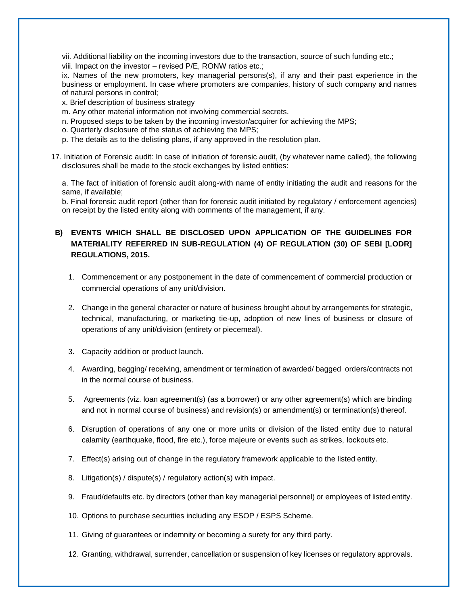vii. Additional liability on the incoming investors due to the transaction, source of such funding etc.;

viii. Impact on the investor – revised P/E, RONW ratios etc.;

ix. Names of the new promoters, key managerial persons(s), if any and their past experience in the business or employment. In case where promoters are companies, history of such company and names of natural persons in control;

- x. Brief description of business strategy
- m. Any other material information not involving commercial secrets.
- n. Proposed steps to be taken by the incoming investor/acquirer for achieving the MPS;
- o. Quarterly disclosure of the status of achieving the MPS;
- p. The details as to the delisting plans, if any approved in the resolution plan.
- 17. Initiation of Forensic audit: In case of initiation of forensic audit, (by whatever name called), the following disclosures shall be made to the stock exchanges by listed entities:

a. The fact of initiation of forensic audit along-with name of entity initiating the audit and reasons for the same, if available;

b. Final forensic audit report (other than for forensic audit initiated by regulatory / enforcement agencies) on receipt by the listed entity along with comments of the management, if any.

# **B) EVENTS WHICH SHALL BE DISCLOSED UPON APPLICATION OF THE GUIDELINES FOR MATERIALITY REFERRED IN SUB-REGULATION (4) OF REGULATION (30) OF SEBI [LODR] REGULATIONS, 2015.**

- 1. Commencement or any postponement in the date of commencement of commercial production or commercial operations of any unit/division.
- 2. Change in the general character or nature of business brought about by arrangements for strategic, technical, manufacturing, or marketing tie-up, adoption of new lines of business or closure of operations of any unit/division (entirety or piecemeal).
- 3. Capacity addition or product launch.
- 4. Awarding, bagging/ receiving, amendment or termination of awarded/ bagged orders/contracts not in the normal course of business.
- 5. Agreements (viz. loan agreement(s) (as a borrower) or any other agreement(s) which are binding and not in normal course of business) and revision(s) or amendment(s) or termination(s) thereof.
- 6. Disruption of operations of any one or more units or division of the listed entity due to natural calamity (earthquake, flood, fire etc.), force majeure or events such as strikes, lockouts etc.
- 7. Effect(s) arising out of change in the regulatory framework applicable to the listed entity.
- 8. Litigation(s) / dispute(s) / regulatory action(s) with impact.
- 9. Fraud/defaults etc. by directors (other than key managerial personnel) or employees of listed entity.
- 10. Options to purchase securities including any ESOP / ESPS Scheme.
- 11. Giving of guarantees or indemnity or becoming a surety for any third party.
- 12. Granting, withdrawal, surrender, cancellation or suspension of key licenses or regulatory approvals.